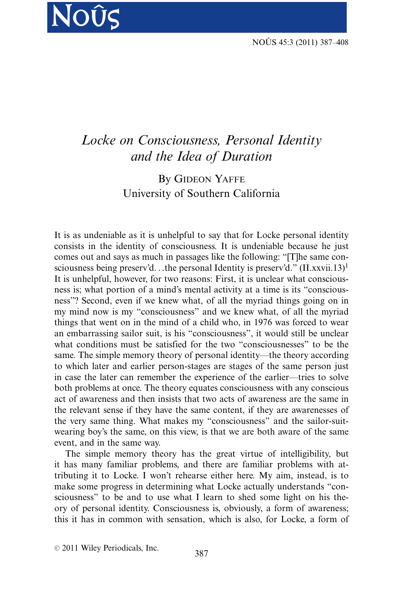

## *Locke on Consciousness, Personal Identity and the Idea of Duration*

## By GIDEON YAFFE University of Southern California

It is as undeniable as it is unhelpful to say that for Locke personal identity consists in the identity of consciousness. It is undeniable because he just comes out and says as much in passages like the following: "[T]he same consciousness being preserv'd...the personal Identity is preserv'd."  $(II, xxvii.13)^1$ It is unhelpful, however, for two reasons: First, it is unclear what consciousness is; what portion of a mind's mental activity at a time is its "consciousness"? Second, even if we knew what, of all the myriad things going on in my mind now is my "consciousness" and we knew what, of all the myriad things that went on in the mind of a child who, in 1976 was forced to wear an embarrassing sailor suit, is his "consciousness", it would still be unclear what conditions must be satisfied for the two "consciousnesses" to be the same. The simple memory theory of personal identity—the theory according to which later and earlier person-stages are stages of the same person just in case the later can remember the experience of the earlier—tries to solve both problems at once. The theory equates consciousness with any conscious act of awareness and then insists that two acts of awareness are the same in the relevant sense if they have the same content, if they are awarenesses of the very same thing. What makes my "consciousness" and the sailor-suitwearing boy's the same, on this view, is that we are both aware of the same event, and in the same way.

The simple memory theory has the great virtue of intelligibility, but it has many familiar problems, and there are familiar problems with attributing it to Locke. I won't rehearse either here. My aim, instead, is to make some progress in determining what Locke actually understands "consciousness" to be and to use what I learn to shed some light on his theory of personal identity. Consciousness is, obviously, a form of awareness; this it has in common with sensation, which is also, for Locke, a form of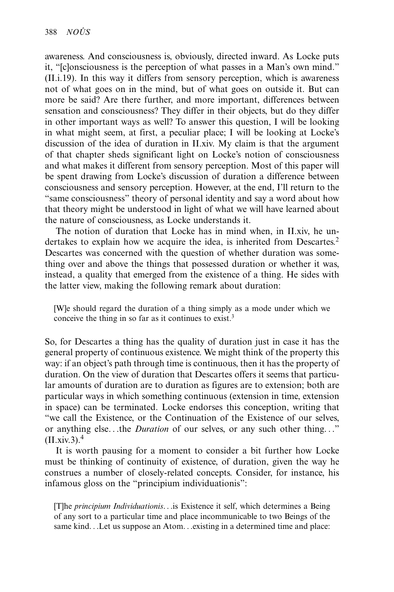awareness. And consciousness is, obviously, directed inward. As Locke puts it, "[c]onsciousness is the perception of what passes in a Man's own mind." (II.i.19). In this way it differs from sensory perception, which is awareness not of what goes on in the mind, but of what goes on outside it. But can more be said? Are there further, and more important, differences between sensation and consciousness? They differ in their objects, but do they differ in other important ways as well? To answer this question, I will be looking in what might seem, at first, a peculiar place; I will be looking at Locke's discussion of the idea of duration in II.xiv. My claim is that the argument of that chapter sheds significant light on Locke's notion of consciousness and what makes it different from sensory perception. Most of this paper will be spent drawing from Locke's discussion of duration a difference between consciousness and sensory perception. However, at the end, I'll return to the "same consciousness" theory of personal identity and say a word about how that theory might be understood in light of what we will have learned about the nature of consciousness, as Locke understands it.

The notion of duration that Locke has in mind when, in II.xiv, he undertakes to explain how we acquire the idea, is inherited from Descartes.<sup>2</sup> Descartes was concerned with the question of whether duration was something over and above the things that possessed duration or whether it was, instead, a quality that emerged from the existence of a thing. He sides with the latter view, making the following remark about duration:

[W]e should regard the duration of a thing simply as a mode under which we conceive the thing in so far as it continues to exist.<sup>3</sup>

So, for Descartes a thing has the quality of duration just in case it has the general property of continuous existence. We might think of the property this way: if an object's path through time is continuous, then it has the property of duration. On the view of duration that Descartes offers it seems that particular amounts of duration are to duration as figures are to extension; both are particular ways in which something continuous (extension in time, extension in space) can be terminated. Locke endorses this conception, writing that "we call the Existence, or the Continuation of the Existence of our selves, or anything else...the *Duration* of our selves, or any such other thing..."  $(II.xiv.3).<sup>4</sup>$ 

It is worth pausing for a moment to consider a bit further how Locke must be thinking of continuity of existence, of duration, given the way he construes a number of closely-related concepts. Consider, for instance, his infamous gloss on the "principium individuationis":

[T]he *principium Individuationis*...is Existence it self, which determines a Being of any sort to a particular time and place incommunicable to two Beings of the same kind...Let us suppose an Atom...existing in a determined time and place: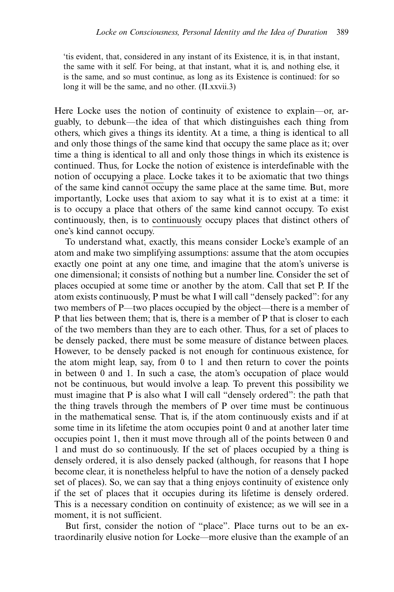'tis evident, that, considered in any instant of its Existence, it is, in that instant, the same with it self. For being, at that instant, what it is, and nothing else, it is the same, and so must continue, as long as its Existence is continued: for so long it will be the same, and no other. (II.xxvii.3)

Here Locke uses the notion of continuity of existence to explain—or, arguably, to debunk—the idea of that which distinguishes each thing from others, which gives a things its identity. At a time, a thing is identical to all and only those things of the same kind that occupy the same place as it; over time a thing is identical to all and only those things in which its existence is continued. Thus, for Locke the notion of existence is interdefinable with the notion of occupying a place. Locke takes it to be axiomatic that two things of the same kind cannot occupy the same place at the same time. But, more importantly, Locke uses that axiom to say what it is to exist at a time: it is to occupy a place that others of the same kind cannot occupy. To exist continuously, then, is to continuously occupy places that distinct others of one's kind cannot occupy.

To understand what, exactly, this means consider Locke's example of an atom and make two simplifying assumptions: assume that the atom occupies exactly one point at any one time, and imagine that the atom's universe is one dimensional; it consists of nothing but a number line. Consider the set of places occupied at some time or another by the atom. Call that set P. If the atom exists continuously, P must be what I will call "densely packed": for any two members of P—two places occupied by the object—there is a member of P that lies between them; that is, there is a member of P that is closer to each of the two members than they are to each other. Thus, for a set of places to be densely packed, there must be some measure of distance between places. However, to be densely packed is not enough for continuous existence, for the atom might leap, say, from 0 to 1 and then return to cover the points in between 0 and 1. In such a case, the atom's occupation of place would not be continuous, but would involve a leap. To prevent this possibility we must imagine that P is also what I will call "densely ordered": the path that the thing travels through the members of P over time must be continuous in the mathematical sense. That is, if the atom continuously exists and if at some time in its lifetime the atom occupies point 0 and at another later time occupies point 1, then it must move through all of the points between 0 and 1 and must do so continuously. If the set of places occupied by a thing is densely ordered, it is also densely packed (although, for reasons that I hope become clear, it is nonetheless helpful to have the notion of a densely packed set of places). So, we can say that a thing enjoys continuity of existence only if the set of places that it occupies during its lifetime is densely ordered. This is a necessary condition on continuity of existence; as we will see in a moment, it is not sufficient.

But first, consider the notion of "place". Place turns out to be an extraordinarily elusive notion for Locke—more elusive than the example of an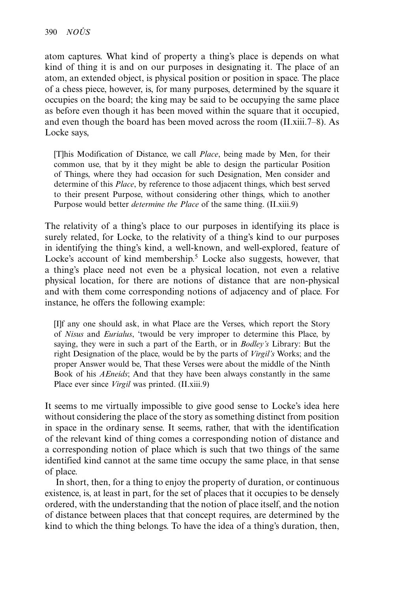atom captures. What kind of property a thing's place is depends on what kind of thing it is and on our purposes in designating it. The place of an atom, an extended object, is physical position or position in space. The place of a chess piece, however, is, for many purposes, determined by the square it occupies on the board; the king may be said to be occupying the same place as before even though it has been moved within the square that it occupied, and even though the board has been moved across the room (II.xiii.7–8). As Locke says,

[T]his Modification of Distance, we call *Place*, being made by Men, for their common use, that by it they might be able to design the particular Position of Things, where they had occasion for such Designation, Men consider and determine of this *Place*, by reference to those adjacent things, which best served to their present Purpose, without considering other things, which to another Purpose would better *determine the Place* of the same thing. (II.xiii.9)

The relativity of a thing's place to our purposes in identifying its place is surely related, for Locke, to the relativity of a thing's kind to our purposes in identifying the thing's kind, a well-known, and well-explored, feature of Locke's account of kind membership.<sup>5</sup> Locke also suggests, however, that a thing's place need not even be a physical location, not even a relative physical location, for there are notions of distance that are non-physical and with them come corresponding notions of adjacency and of place. For instance, he offers the following example:

[I]f any one should ask, in what Place are the Verses, which report the Story of *Nisus* and *Eurialus*, 'twould be very improper to determine this Place, by saying, they were in such a part of the Earth, or in *Bodley's* Library: But the right Designation of the place, would be by the parts of *Virgil's* Works; and the proper Answer would be, That these Verses were about the middle of the Ninth Book of his *AEneids*; And that they have been always constantly in the same Place ever since *Virgil* was printed. (II.xiii.9)

It seems to me virtually impossible to give good sense to Locke's idea here without considering the place of the story as something distinct from position in space in the ordinary sense. It seems, rather, that with the identification of the relevant kind of thing comes a corresponding notion of distance and a corresponding notion of place which is such that two things of the same identified kind cannot at the same time occupy the same place, in that sense of place.

In short, then, for a thing to enjoy the property of duration, or continuous existence, is, at least in part, for the set of places that it occupies to be densely ordered, with the understanding that the notion of place itself, and the notion of distance between places that that concept requires, are determined by the kind to which the thing belongs. To have the idea of a thing's duration, then,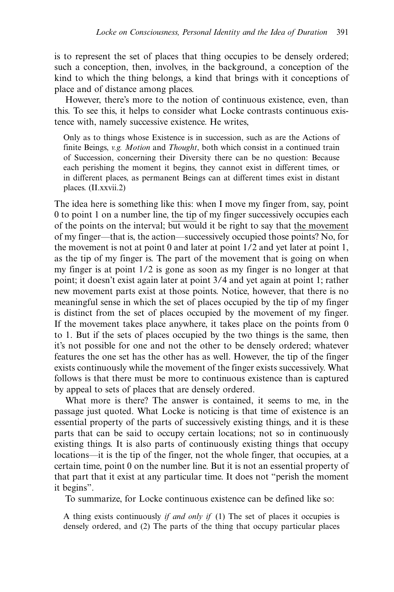is to represent the set of places that thing occupies to be densely ordered; such a conception, then, involves, in the background, a conception of the kind to which the thing belongs, a kind that brings with it conceptions of place and of distance among places.

However, there's more to the notion of continuous existence, even, than this. To see this, it helps to consider what Locke contrasts continuous existence with, namely successive existence. He writes,

Only as to things whose Existence is in succession, such as are the Actions of finite Beings, *v.g. Motion* and *Thought*, both which consist in a continued train of Succession, concerning their Diversity there can be no question: Because each perishing the moment it begins, they cannot exist in different times, or in different places, as permanent Beings can at different times exist in distant places. (II.xxvii.2)

The idea here is something like this: when I move my finger from, say, point 0 to point 1 on a number line, the tip of my finger successively occupies each of the points on the interval; but would it be right to say that the movement of my finger—that is, the action—successively occupied those points? No, for the movement is not at point 0 and later at point 1/2 and yet later at point 1, as the tip of my finger is. The part of the movement that is going on when my finger is at point 1/2 is gone as soon as my finger is no longer at that point; it doesn't exist again later at point 3/4 and yet again at point 1; rather new movement parts exist at those points. Notice, however, that there is no meaningful sense in which the set of places occupied by the tip of my finger is distinct from the set of places occupied by the movement of my finger. If the movement takes place anywhere, it takes place on the points from 0 to 1. But if the sets of places occupied by the two things is the same, then it's not possible for one and not the other to be densely ordered; whatever features the one set has the other has as well. However, the tip of the finger exists continuously while the movement of the finger exists successively. What follows is that there must be more to continuous existence than is captured by appeal to sets of places that are densely ordered.

What more is there? The answer is contained, it seems to me, in the passage just quoted. What Locke is noticing is that time of existence is an essential property of the parts of successively existing things, and it is these parts that can be said to occupy certain locations; not so in continuously existing things. It is also parts of continuously existing things that occupy locations—it is the tip of the finger, not the whole finger, that occupies, at a certain time, point 0 on the number line. But it is not an essential property of that part that it exist at any particular time. It does not "perish the moment it begins".

To summarize, for Locke continuous existence can be defined like so:

A thing exists continuously *if and only if* (1) The set of places it occupies is densely ordered, and (2) The parts of the thing that occupy particular places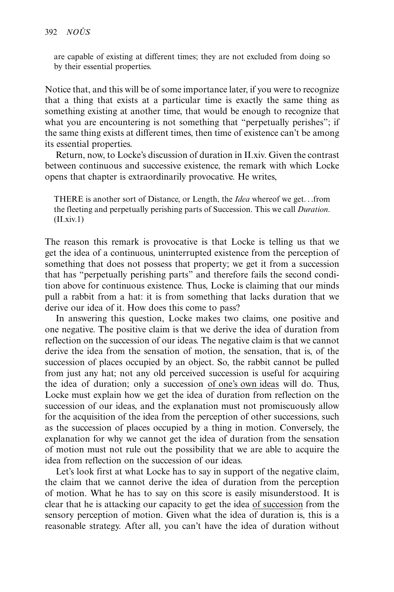are capable of existing at different times; they are not excluded from doing so by their essential properties.

Notice that, and this will be of some importance later, if you were to recognize that a thing that exists at a particular time is exactly the same thing as something existing at another time, that would be enough to recognize that what you are encountering is not something that "perpetually perishes"; if the same thing exists at different times, then time of existence can't be among its essential properties.

Return, now, to Locke's discussion of duration in II.xiv. Given the contrast between continuous and successive existence, the remark with which Locke opens that chapter is extraordinarily provocative. He writes,

THERE is another sort of Distance, or Length, the *Idea* whereof we get...from the fleeting and perpetually perishing parts of Succession. This we call *Duration*.  $(II.xiv.1)$ 

The reason this remark is provocative is that Locke is telling us that we get the idea of a continuous, uninterrupted existence from the perception of something that does not possess that property; we get it from a succession that has "perpetually perishing parts" and therefore fails the second condition above for continuous existence. Thus, Locke is claiming that our minds pull a rabbit from a hat: it is from something that lacks duration that we derive our idea of it. How does this come to pass?

In answering this question, Locke makes two claims, one positive and one negative. The positive claim is that we derive the idea of duration from reflection on the succession of our ideas. The negative claim is that we cannot derive the idea from the sensation of motion, the sensation, that is, of the succession of places occupied by an object. So, the rabbit cannot be pulled from just any hat; not any old perceived succession is useful for acquiring the idea of duration; only a succession of one's own ideas will do. Thus, Locke must explain how we get the idea of duration from reflection on the succession of our ideas, and the explanation must not promiscuously allow for the acquisition of the idea from the perception of other successions, such as the succession of places occupied by a thing in motion. Conversely, the explanation for why we cannot get the idea of duration from the sensation of motion must not rule out the possibility that we are able to acquire the idea from reflection on the succession of our ideas.

Let's look first at what Locke has to say in support of the negative claim, the claim that we cannot derive the idea of duration from the perception of motion. What he has to say on this score is easily misunderstood. It is clear that he is attacking our capacity to get the idea of succession from the sensory perception of motion. Given what the idea of duration is, this is a reasonable strategy. After all, you can't have the idea of duration without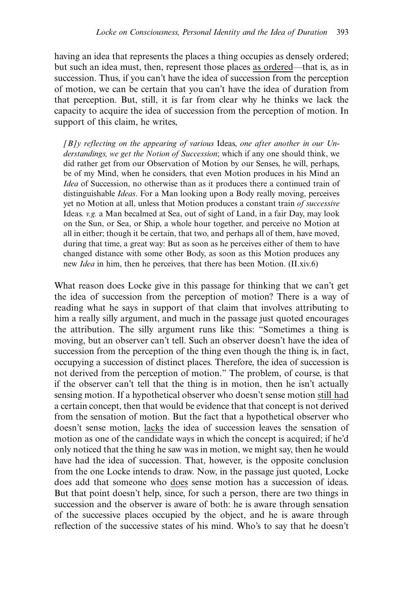having an idea that represents the places a thing occupies as densely ordered; but such an idea must, then, represent those places as ordered—that is, as in succession. Thus, if you can't have the idea of succession from the perception of motion, we can be certain that you can't have the idea of duration from that perception. But, still, it is far from clear why he thinks we lack the capacity to acquire the idea of succession from the perception of motion. In support of this claim, he writes,

*[B]y reflecting on the appearing of various* Ideas, *one after another in our Understandings, we get the Notion of Succession*; which if any one should think, we did rather get from our Observation of Motion by our Senses, he will, perhaps, be of my Mind, when he considers, that even Motion produces in his Mind an *Idea* of Succession, no otherwise than as it produces there a continued train of distinguishable *Ideas*. For a Man looking upon a Body really moving, perceives yet no Motion at all, unless that Motion produces a constant train *of successive* Ideas. *v.g.* a Man becalmed at Sea, out of sight of Land, in a fair Day, may look on the Sun, or Sea, or Ship, a whole hour together, and perceive no Motion at all in either; though it be certain, that two, and perhaps all of them, have moved, during that time, a great way: But as soon as he perceives either of them to have changed distance with some other Body, as soon as this Motion produces any new *Idea* in him, then he perceives, that there has been Motion. (II.xiv.6)

What reason does Locke give in this passage for thinking that we can't get the idea of succession from the perception of motion? There is a way of reading what he says in support of that claim that involves attributing to him a really silly argument, and much in the passage just quoted encourages the attribution. The silly argument runs like this: "Sometimes a thing is moving, but an observer can't tell. Such an observer doesn't have the idea of succession from the perception of the thing even though the thing is, in fact, occupying a succession of distinct places. Therefore, the idea of succession is not derived from the perception of motion." The problem, of course, is that if the observer can't tell that the thing is in motion, then he isn't actually sensing motion. If a hypothetical observer who doesn't sense motion still had a certain concept, then that would be evidence that that concept is not derived from the sensation of motion. But the fact that a hypothetical observer who doesn't sense motion, lacks the idea of succession leaves the sensation of motion as one of the candidate ways in which the concept is acquired; if he'd only noticed that the thing he saw was in motion, we might say, then he would have had the idea of succession. That, however, is the opposite conclusion from the one Locke intends to draw. Now, in the passage just quoted, Locke does add that someone who does sense motion has a succession of ideas. But that point doesn't help, since, for such a person, there are two things in succession and the observer is aware of both: he is aware through sensation of the successive places occupied by the object, and he is aware through reflection of the successive states of his mind. Who's to say that he doesn't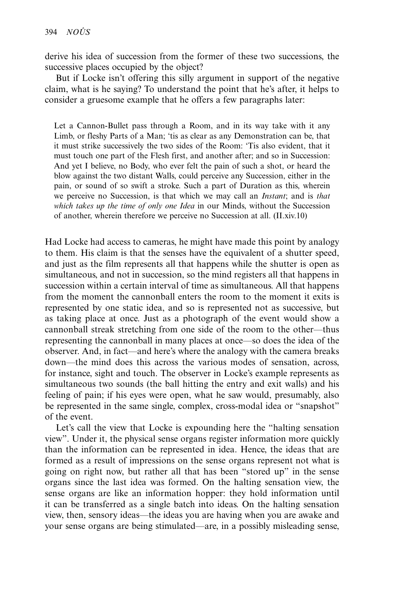derive his idea of succession from the former of these two successions, the successive places occupied by the object?

But if Locke isn't offering this silly argument in support of the negative claim, what is he saying? To understand the point that he's after, it helps to consider a gruesome example that he offers a few paragraphs later:

Let a Cannon-Bullet pass through a Room, and in its way take with it any Limb, or fleshy Parts of a Man; 'tis as clear as any Demonstration can be, that it must strike successively the two sides of the Room: 'Tis also evident, that it must touch one part of the Flesh first, and another after; and so in Succession: And yet I believe, no Body, who ever felt the pain of such a shot, or heard the blow against the two distant Walls, could perceive any Succession, either in the pain, or sound of so swift a stroke. Such a part of Duration as this, wherein we perceive no Succession, is that which we may call an *Instant*; and is *that which takes up the time of only one Idea* in our Minds, without the Succession of another, wherein therefore we perceive no Succession at all. (II.xiv.10)

Had Locke had access to cameras, he might have made this point by analogy to them. His claim is that the senses have the equivalent of a shutter speed, and just as the film represents all that happens while the shutter is open as simultaneous, and not in succession, so the mind registers all that happens in succession within a certain interval of time as simultaneous. All that happens from the moment the cannonball enters the room to the moment it exits is represented by one static idea, and so is represented not as successive, but as taking place at once. Just as a photograph of the event would show a cannonball streak stretching from one side of the room to the other—thus representing the cannonball in many places at once—so does the idea of the observer. And, in fact—and here's where the analogy with the camera breaks down—the mind does this across the various modes of sensation, across, for instance, sight and touch. The observer in Locke's example represents as simultaneous two sounds (the ball hitting the entry and exit walls) and his feeling of pain; if his eyes were open, what he saw would, presumably, also be represented in the same single, complex, cross-modal idea or "snapshot" of the event.

Let's call the view that Locke is expounding here the "halting sensation" view". Under it, the physical sense organs register information more quickly than the information can be represented in idea. Hence, the ideas that are formed as a result of impressions on the sense organs represent not what is going on right now, but rather all that has been "stored up" in the sense organs since the last idea was formed. On the halting sensation view, the sense organs are like an information hopper: they hold information until it can be transferred as a single batch into ideas. On the halting sensation view, then, sensory ideas—the ideas you are having when you are awake and your sense organs are being stimulated—are, in a possibly misleading sense,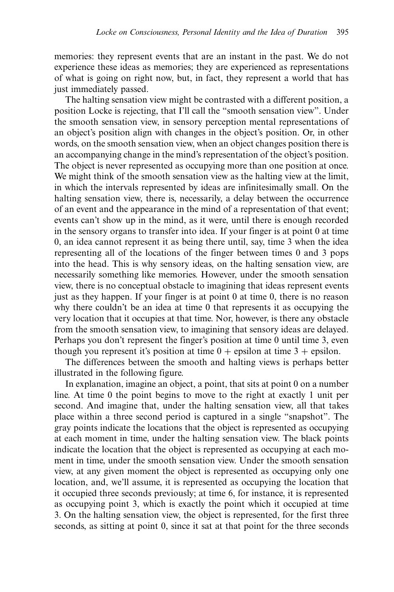memories: they represent events that are an instant in the past. We do not experience these ideas as memories; they are experienced as representations of what is going on right now, but, in fact, they represent a world that has just immediately passed.

The halting sensation view might be contrasted with a different position, a position Locke is rejecting, that I'll call the "smooth sensation view". Under the smooth sensation view, in sensory perception mental representations of an object's position align with changes in the object's position. Or, in other words, on the smooth sensation view, when an object changes position there is an accompanying change in the mind's representation of the object's position. The object is never represented as occupying more than one position at once. We might think of the smooth sensation view as the halting view at the limit, in which the intervals represented by ideas are infinitesimally small. On the halting sensation view, there is, necessarily, a delay between the occurrence of an event and the appearance in the mind of a representation of that event; events can't show up in the mind, as it were, until there is enough recorded in the sensory organs to transfer into idea. If your finger is at point 0 at time 0, an idea cannot represent it as being there until, say, time 3 when the idea representing all of the locations of the finger between times 0 and 3 pops into the head. This is why sensory ideas, on the halting sensation view, are necessarily something like memories. However, under the smooth sensation view, there is no conceptual obstacle to imagining that ideas represent events just as they happen. If your finger is at point 0 at time 0, there is no reason why there couldn't be an idea at time 0 that represents it as occupying the very location that it occupies at that time. Nor, however, is there any obstacle from the smooth sensation view, to imagining that sensory ideas are delayed. Perhaps you don't represent the finger's position at time 0 until time 3, even though you represent it's position at time  $0 +$  epsilon at time  $3 +$  epsilon.

The differences between the smooth and halting views is perhaps better illustrated in the following figure.

In explanation, imagine an object, a point, that sits at point 0 on a number line. At time 0 the point begins to move to the right at exactly 1 unit per second. And imagine that, under the halting sensation view, all that takes place within a three second period is captured in a single "snapshot". The gray points indicate the locations that the object is represented as occupying at each moment in time, under the halting sensation view. The black points indicate the location that the object is represented as occupying at each moment in time, under the smooth sensation view. Under the smooth sensation view, at any given moment the object is represented as occupying only one location, and, we'll assume, it is represented as occupying the location that it occupied three seconds previously; at time 6, for instance, it is represented as occupying point 3, which is exactly the point which it occupied at time 3. On the halting sensation view, the object is represented, for the first three seconds, as sitting at point 0, since it sat at that point for the three seconds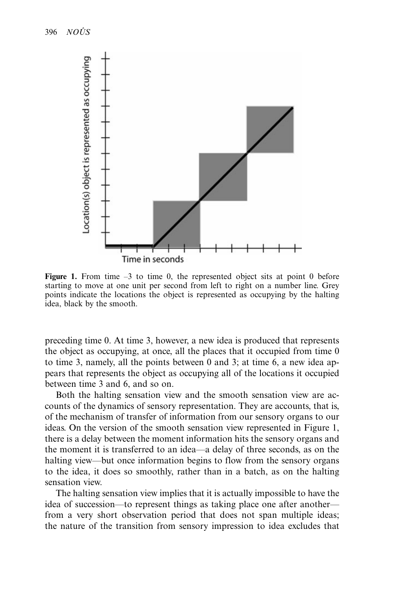

**Figure 1.** From time  $-3$  to time 0, the represented object sits at point 0 before starting to move at one unit per second from left to right on a number line. Grey points indicate the locations the object is represented as occupying by the halting idea, black by the smooth.

preceding time 0. At time 3, however, a new idea is produced that represents the object as occupying, at once, all the places that it occupied from time 0 to time 3, namely, all the points between 0 and 3; at time 6, a new idea appears that represents the object as occupying all of the locations it occupied between time 3 and 6, and so on.

Both the halting sensation view and the smooth sensation view are accounts of the dynamics of sensory representation. They are accounts, that is, of the mechanism of transfer of information from our sensory organs to our ideas. On the version of the smooth sensation view represented in Figure 1, there is a delay between the moment information hits the sensory organs and the moment it is transferred to an idea—a delay of three seconds, as on the halting view—but once information begins to flow from the sensory organs to the idea, it does so smoothly, rather than in a batch, as on the halting sensation view.

The halting sensation view implies that it is actually impossible to have the idea of succession—to represent things as taking place one after another from a very short observation period that does not span multiple ideas; the nature of the transition from sensory impression to idea excludes that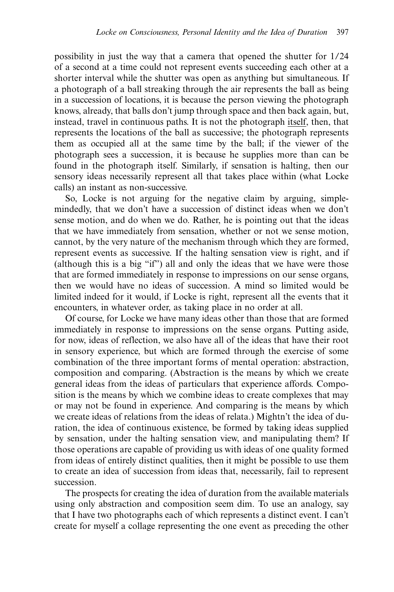possibility in just the way that a camera that opened the shutter for 1/24 of a second at a time could not represent events succeeding each other at a shorter interval while the shutter was open as anything but simultaneous. If a photograph of a ball streaking through the air represents the ball as being in a succession of locations, it is because the person viewing the photograph knows, already, that balls don't jump through space and then back again, but, instead, travel in continuous paths. It is not the photograph itself, then, that represents the locations of the ball as successive; the photograph represents them as occupied all at the same time by the ball; if the viewer of the photograph sees a succession, it is because he supplies more than can be found in the photograph itself. Similarly, if sensation is halting, then our sensory ideas necessarily represent all that takes place within (what Locke calls) an instant as non-successive.

So, Locke is not arguing for the negative claim by arguing, simplemindedly, that we don't have a succession of distinct ideas when we don't sense motion, and do when we do. Rather, he is pointing out that the ideas that we have immediately from sensation, whether or not we sense motion, cannot, by the very nature of the mechanism through which they are formed, represent events as successive. If the halting sensation view is right, and if (although this is a big "if") all and only the ideas that we have were those that are formed immediately in response to impressions on our sense organs, then we would have no ideas of succession. A mind so limited would be limited indeed for it would, if Locke is right, represent all the events that it encounters, in whatever order, as taking place in no order at all.

Of course, for Locke we have many ideas other than those that are formed immediately in response to impressions on the sense organs. Putting aside, for now, ideas of reflection, we also have all of the ideas that have their root in sensory experience, but which are formed through the exercise of some combination of the three important forms of mental operation: abstraction, composition and comparing. (Abstraction is the means by which we create general ideas from the ideas of particulars that experience affords. Composition is the means by which we combine ideas to create complexes that may or may not be found in experience. And comparing is the means by which we create ideas of relations from the ideas of relata.) Mightn't the idea of duration, the idea of continuous existence, be formed by taking ideas supplied by sensation, under the halting sensation view, and manipulating them? If those operations are capable of providing us with ideas of one quality formed from ideas of entirely distinct qualities, then it might be possible to use them to create an idea of succession from ideas that, necessarily, fail to represent succession.

The prospects for creating the idea of duration from the available materials using only abstraction and composition seem dim. To use an analogy, say that I have two photographs each of which represents a distinct event. I can't create for myself a collage representing the one event as preceding the other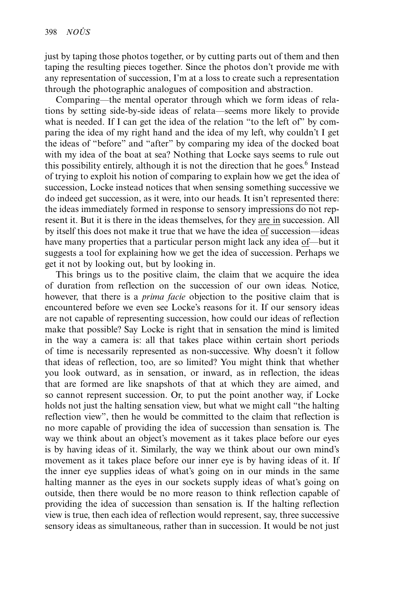just by taping those photos together, or by cutting parts out of them and then taping the resulting pieces together. Since the photos don't provide me with any representation of succession, I'm at a loss to create such a representation through the photographic analogues of composition and abstraction.

Comparing—the mental operator through which we form ideas of relations by setting side-by-side ideas of relata—seems more likely to provide what is needed. If I can get the idea of the relation "to the left of" by comparing the idea of my right hand and the idea of my left, why couldn't I get the ideas of "before" and "after" by comparing my idea of the docked boat with my idea of the boat at sea? Nothing that Locke says seems to rule out this possibility entirely, although it is not the direction that he goes.<sup>6</sup> Instead of trying to exploit his notion of comparing to explain how we get the idea of succession, Locke instead notices that when sensing something successive we do indeed get succession, as it were, into our heads. It isn't represented there: the ideas immediately formed in response to sensory impressions do not represent it. But it is there in the ideas themselves, for they are in succession. All by itself this does not make it true that we have the idea of succession—ideas have many properties that a particular person might lack any idea of—but it suggests a tool for explaining how we get the idea of succession. Perhaps we get it not by looking out, but by looking in.

This brings us to the positive claim, the claim that we acquire the idea of duration from reflection on the succession of our own ideas. Notice, however, that there is a *prima facie* objection to the positive claim that is encountered before we even see Locke's reasons for it. If our sensory ideas are not capable of representing succession, how could our ideas of reflection make that possible? Say Locke is right that in sensation the mind is limited in the way a camera is: all that takes place within certain short periods of time is necessarily represented as non-successive. Why doesn't it follow that ideas of reflection, too, are so limited? You might think that whether you look outward, as in sensation, or inward, as in reflection, the ideas that are formed are like snapshots of that at which they are aimed, and so cannot represent succession. Or, to put the point another way, if Locke holds not just the halting sensation view, but what we might call "the halting reflection view", then he would be committed to the claim that reflection is no more capable of providing the idea of succession than sensation is. The way we think about an object's movement as it takes place before our eyes is by having ideas of it. Similarly, the way we think about our own mind's movement as it takes place before our inner eye is by having ideas of it. If the inner eye supplies ideas of what's going on in our minds in the same halting manner as the eyes in our sockets supply ideas of what's going on outside, then there would be no more reason to think reflection capable of providing the idea of succession than sensation is. If the halting reflection view is true, then each idea of reflection would represent, say, three successive sensory ideas as simultaneous, rather than in succession. It would be not just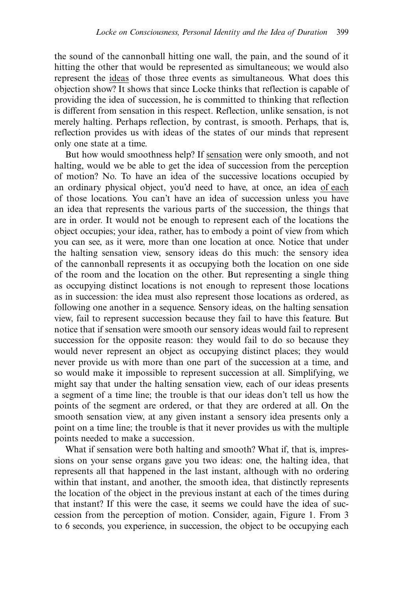the sound of the cannonball hitting one wall, the pain, and the sound of it hitting the other that would be represented as simultaneous; we would also represent the ideas of those three events as simultaneous. What does this objection show? It shows that since Locke thinks that reflection is capable of providing the idea of succession, he is committed to thinking that reflection is different from sensation in this respect. Reflection, unlike sensation, is not merely halting. Perhaps reflection, by contrast, is smooth. Perhaps, that is, reflection provides us with ideas of the states of our minds that represent only one state at a time.

But how would smoothness help? If sensation were only smooth, and not halting, would we be able to get the idea of succession from the perception of motion? No. To have an idea of the successive locations occupied by an ordinary physical object, you'd need to have, at once, an idea of each of those locations. You can't have an idea of succession unless you have an idea that represents the various parts of the succession, the things that are in order. It would not be enough to represent each of the locations the object occupies; your idea, rather, has to embody a point of view from which you can see, as it were, more than one location at once. Notice that under the halting sensation view, sensory ideas do this much: the sensory idea of the cannonball represents it as occupying both the location on one side of the room and the location on the other. But representing a single thing as occupying distinct locations is not enough to represent those locations as in succession: the idea must also represent those locations as ordered, as following one another in a sequence. Sensory ideas, on the halting sensation view, fail to represent succession because they fail to have this feature. But notice that if sensation were smooth our sensory ideas would fail to represent succession for the opposite reason: they would fail to do so because they would never represent an object as occupying distinct places; they would never provide us with more than one part of the succession at a time, and so would make it impossible to represent succession at all. Simplifying, we might say that under the halting sensation view, each of our ideas presents a segment of a time line; the trouble is that our ideas don't tell us how the points of the segment are ordered, or that they are ordered at all. On the smooth sensation view, at any given instant a sensory idea presents only a point on a time line; the trouble is that it never provides us with the multiple points needed to make a succession.

What if sensation were both halting and smooth? What if, that is, impressions on your sense organs gave you two ideas: one, the halting idea, that represents all that happened in the last instant, although with no ordering within that instant, and another, the smooth idea, that distinctly represents the location of the object in the previous instant at each of the times during that instant? If this were the case, it seems we could have the idea of succession from the perception of motion. Consider, again, Figure 1. From 3 to 6 seconds, you experience, in succession, the object to be occupying each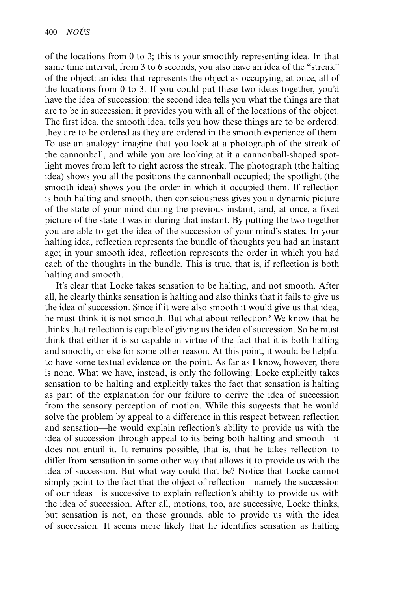of the locations from 0 to 3; this is your smoothly representing idea. In that same time interval, from 3 to 6 seconds, you also have an idea of the "streak" of the object: an idea that represents the object as occupying, at once, all of the locations from 0 to 3. If you could put these two ideas together, you'd have the idea of succession: the second idea tells you what the things are that are to be in succession; it provides you with all of the locations of the object. The first idea, the smooth idea, tells you how these things are to be ordered: they are to be ordered as they are ordered in the smooth experience of them. To use an analogy: imagine that you look at a photograph of the streak of the cannonball, and while you are looking at it a cannonball-shaped spotlight moves from left to right across the streak. The photograph (the halting idea) shows you all the positions the cannonball occupied; the spotlight (the smooth idea) shows you the order in which it occupied them. If reflection is both halting and smooth, then consciousness gives you a dynamic picture of the state of your mind during the previous instant, and, at once, a fixed picture of the state it was in during that instant. By putting the two together you are able to get the idea of the succession of your mind's states. In your halting idea, reflection represents the bundle of thoughts you had an instant ago; in your smooth idea, reflection represents the order in which you had each of the thoughts in the bundle. This is true, that is, if reflection is both halting and smooth.

It's clear that Locke takes sensation to be halting, and not smooth. After all, he clearly thinks sensation is halting and also thinks that it fails to give us the idea of succession. Since if it were also smooth it would give us that idea, he must think it is not smooth. But what about reflection? We know that he thinks that reflection is capable of giving us the idea of succession. So he must think that either it is so capable in virtue of the fact that it is both halting and smooth, or else for some other reason. At this point, it would be helpful to have some textual evidence on the point. As far as I know, however, there is none. What we have, instead, is only the following: Locke explicitly takes sensation to be halting and explicitly takes the fact that sensation is halting as part of the explanation for our failure to derive the idea of succession from the sensory perception of motion. While this suggests that he would solve the problem by appeal to a difference in this respect between reflection and sensation—he would explain reflection's ability to provide us with the idea of succession through appeal to its being both halting and smooth—it does not entail it. It remains possible, that is, that he takes reflection to differ from sensation in some other way that allows it to provide us with the idea of succession. But what way could that be? Notice that Locke cannot simply point to the fact that the object of reflection—namely the succession of our ideas—is successive to explain reflection's ability to provide us with the idea of succession. After all, motions, too, are successive, Locke thinks, but sensation is not, on those grounds, able to provide us with the idea of succession. It seems more likely that he identifies sensation as halting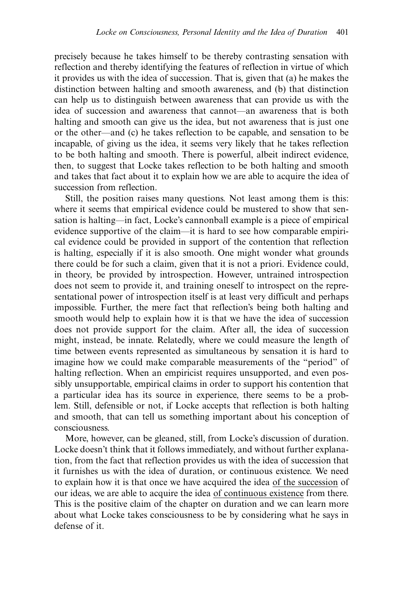precisely because he takes himself to be thereby contrasting sensation with reflection and thereby identifying the features of reflection in virtue of which it provides us with the idea of succession. That is, given that (a) he makes the distinction between halting and smooth awareness, and (b) that distinction can help us to distinguish between awareness that can provide us with the idea of succession and awareness that cannot—an awareness that is both halting and smooth can give us the idea, but not awareness that is just one or the other—and (c) he takes reflection to be capable, and sensation to be incapable, of giving us the idea, it seems very likely that he takes reflection to be both halting and smooth. There is powerful, albeit indirect evidence, then, to suggest that Locke takes reflection to be both halting and smooth and takes that fact about it to explain how we are able to acquire the idea of succession from reflection.

Still, the position raises many questions. Not least among them is this: where it seems that empirical evidence could be mustered to show that sensation is halting—in fact, Locke's cannonball example is a piece of empirical evidence supportive of the claim—it is hard to see how comparable empirical evidence could be provided in support of the contention that reflection is halting, especially if it is also smooth. One might wonder what grounds there could be for such a claim, given that it is not a priori. Evidence could, in theory, be provided by introspection. However, untrained introspection does not seem to provide it, and training oneself to introspect on the representational power of introspection itself is at least very difficult and perhaps impossible. Further, the mere fact that reflection's being both halting and smooth would help to explain how it is that we have the idea of succession does not provide support for the claim. After all, the idea of succession might, instead, be innate. Relatedly, where we could measure the length of time between events represented as simultaneous by sensation it is hard to imagine how we could make comparable measurements of the "period" of halting reflection. When an empiricist requires unsupported, and even possibly unsupportable, empirical claims in order to support his contention that a particular idea has its source in experience, there seems to be a problem. Still, defensible or not, if Locke accepts that reflection is both halting and smooth, that can tell us something important about his conception of consciousness.

More, however, can be gleaned, still, from Locke's discussion of duration. Locke doesn't think that it follows immediately, and without further explanation, from the fact that reflection provides us with the idea of succession that it furnishes us with the idea of duration, or continuous existence. We need to explain how it is that once we have acquired the idea of the succession of our ideas, we are able to acquire the idea of continuous existence from there. This is the positive claim of the chapter on duration and we can learn more about what Locke takes consciousness to be by considering what he says in defense of it.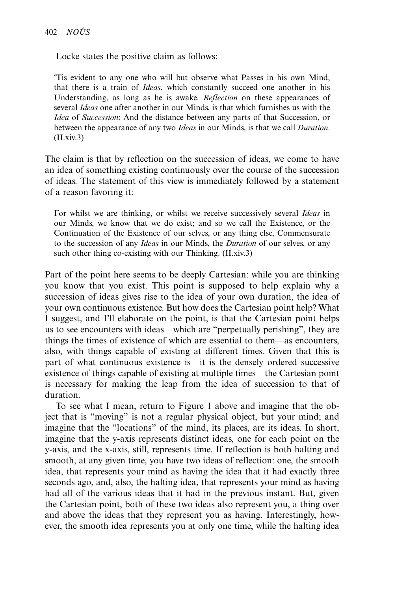Locke states the positive claim as follows:

'Tis evident to any one who will but observe what Passes in his own Mind, that there is a train of *Ideas*, which constantly succeed one another in his Understanding, as long as he is awake. *Reflection* on these appearances of several *Ideas* one after another in our Minds, is that which furnishes us with the *Idea* of *Succession*: And the distance between any parts of that Succession, or between the appearance of any two *Ideas* in our Minds, is that we call *Duration*.  $(II.xiv.3)$ 

The claim is that by reflection on the succession of ideas, we come to have an idea of something existing continuously over the course of the succession of ideas. The statement of this view is immediately followed by a statement of a reason favoring it:

For whilst we are thinking, or whilst we receive successively several *Ideas* in our Minds, we know that we do exist; and so we call the Existence, or the Continuation of the Existence of our selves, or any thing else, Commensurate to the succession of any *Ideas* in our Minds, the *Duration* of our selves, or any such other thing co-existing with our Thinking. (II.xiv.3)

Part of the point here seems to be deeply Cartesian: while you are thinking you know that you exist. This point is supposed to help explain why a succession of ideas gives rise to the idea of your own duration, the idea of your own continuous existence. But how does the Cartesian point help? What I suggest, and I'll elaborate on the point, is that the Cartesian point helps us to see encounters with ideas—which are "perpetually perishing", they are things the times of existence of which are essential to them—as encounters, also, with things capable of existing at different times. Given that this is part of what continuous existence is—it is the densely ordered successive existence of things capable of existing at multiple times—the Cartesian point is necessary for making the leap from the idea of succession to that of duration.

To see what I mean, return to Figure 1 above and imagine that the object that is "moving" is not a regular physical object, but your mind; and imagine that the "locations" of the mind, its places, are its ideas. In short, imagine that the y-axis represents distinct ideas, one for each point on the y-axis, and the x-axis, still, represents time. If reflection is both halting and smooth, at any given time, you have two ideas of reflection: one, the smooth idea, that represents your mind as having the idea that it had exactly three seconds ago, and, also, the halting idea, that represents your mind as having had all of the various ideas that it had in the previous instant. But, given the Cartesian point, both of these two ideas also represent you, a thing over and above the ideas that they represent you as having. Interestingly, however, the smooth idea represents you at only one time, while the halting idea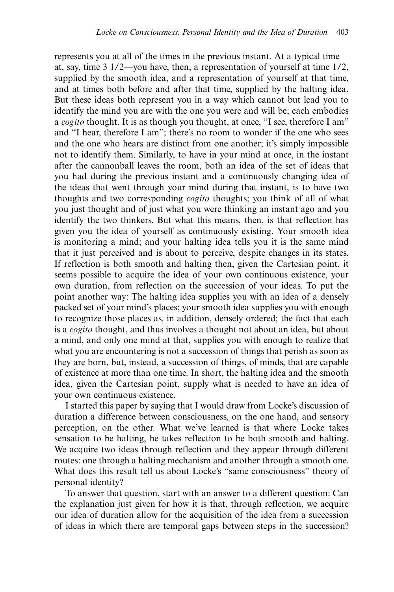represents you at all of the times in the previous instant. At a typical time at, say, time 3 1/2—you have, then, a representation of yourself at time 1/2, supplied by the smooth idea, and a representation of yourself at that time, and at times both before and after that time, supplied by the halting idea. But these ideas both represent you in a way which cannot but lead you to identify the mind you are with the one you were and will be; each embodies a *cogito* thought. It is as though you thought, at once, "I see, therefore I am" and "I hear, therefore I am"; there's no room to wonder if the one who sees and the one who hears are distinct from one another; it's simply impossible not to identify them. Similarly, to have in your mind at once, in the instant after the cannonball leaves the room, both an idea of the set of ideas that you had during the previous instant and a continuously changing idea of the ideas that went through your mind during that instant, is to have two thoughts and two corresponding *cogito* thoughts; you think of all of what you just thought and of just what you were thinking an instant ago and you identify the two thinkers. But what this means, then, is that reflection has given you the idea of yourself as continuously existing. Your smooth idea is monitoring a mind; and your halting idea tells you it is the same mind that it just perceived and is about to perceive, despite changes in its states. If reflection is both smooth and halting then, given the Cartesian point, it seems possible to acquire the idea of your own continuous existence, your own duration, from reflection on the succession of your ideas. To put the point another way: The halting idea supplies you with an idea of a densely packed set of your mind's places; your smooth idea supplies you with enough to recognize those places as, in addition, densely ordered; the fact that each is a *cogito* thought, and thus involves a thought not about an idea, but about a mind, and only one mind at that, supplies you with enough to realize that what you are encountering is not a succession of things that perish as soon as they are born, but, instead, a succession of things, of minds, that are capable of existence at more than one time. In short, the halting idea and the smooth idea, given the Cartesian point, supply what is needed to have an idea of your own continuous existence.

I started this paper by saying that I would draw from Locke's discussion of duration a difference between consciousness, on the one hand, and sensory perception, on the other. What we've learned is that where Locke takes sensation to be halting, he takes reflection to be both smooth and halting. We acquire two ideas through reflection and they appear through different routes: one through a halting mechanism and another through a smooth one. What does this result tell us about Locke's "same consciousness" theory of personal identity?

To answer that question, start with an answer to a different question: Can the explanation just given for how it is that, through reflection, we acquire our idea of duration allow for the acquisition of the idea from a succession of ideas in which there are temporal gaps between steps in the succession?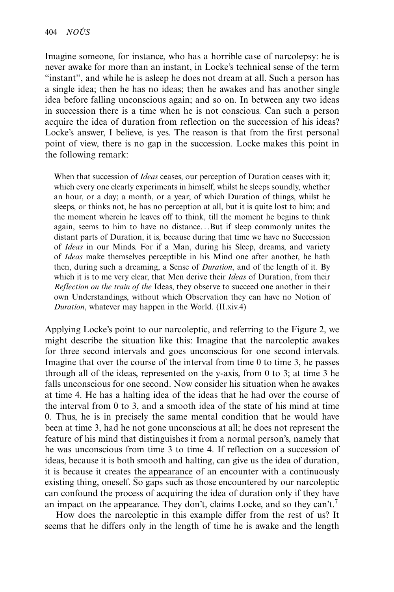Imagine someone, for instance, who has a horrible case of narcolepsy: he is never awake for more than an instant, in Locke's technical sense of the term "instant", and while he is asleep he does not dream at all. Such a person has a single idea; then he has no ideas; then he awakes and has another single idea before falling unconscious again; and so on. In between any two ideas in succession there is a time when he is not conscious. Can such a person acquire the idea of duration from reflection on the succession of his ideas? Locke's answer, I believe, is yes. The reason is that from the first personal point of view, there is no gap in the succession. Locke makes this point in the following remark:

When that succession of *Ideas* ceases, our perception of Duration ceases with it; which every one clearly experiments in himself, whilst he sleeps soundly, whether an hour, or a day; a month, or a year; of which Duration of things, whilst he sleeps, or thinks not, he has no perception at all, but it is quite lost to him; and the moment wherein he leaves off to think, till the moment he begins to think again, seems to him to have no distance...But if sleep commonly unites the distant parts of Duration, it is, because during that time we have no Succession of *Ideas* in our Minds. For if a Man, during his Sleep, dreams, and variety of *Ideas* make themselves perceptible in his Mind one after another, he hath then, during such a dreaming, a Sense of *Duration*, and of the length of it. By which it is to me very clear, that Men derive their *Ideas* of Duration, from their *Reflection on the train of the* Ideas, they observe to succeed one another in their own Understandings, without which Observation they can have no Notion of *Duration*, whatever may happen in the World. (II.xiv.4)

Applying Locke's point to our narcoleptic, and referring to the Figure 2, we might describe the situation like this: Imagine that the narcoleptic awakes for three second intervals and goes unconscious for one second intervals. Imagine that over the course of the interval from time 0 to time 3, he passes through all of the ideas, represented on the y-axis, from 0 to 3; at time 3 he falls unconscious for one second. Now consider his situation when he awakes at time 4. He has a halting idea of the ideas that he had over the course of the interval from 0 to 3, and a smooth idea of the state of his mind at time 0. Thus, he is in precisely the same mental condition that he would have been at time 3, had he not gone unconscious at all; he does not represent the feature of his mind that distinguishes it from a normal person's, namely that he was unconscious from time 3 to time 4. If reflection on a succession of ideas, because it is both smooth and halting, can give us the idea of duration, it is because it creates the appearance of an encounter with a continuously existing thing, oneself. So gaps such as those encountered by our narcoleptic can confound the process of acquiring the idea of duration only if they have an impact on the appearance. They don't, claims Locke, and so they can't.7

How does the narcoleptic in this example differ from the rest of us? It seems that he differs only in the length of time he is awake and the length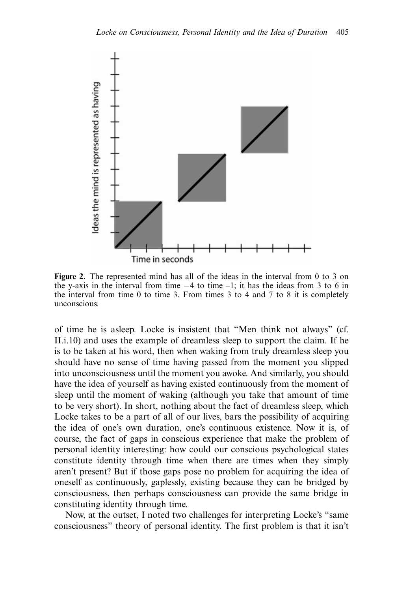

**Figure 2.** The represented mind has all of the ideas in the interval from 0 to 3 on the y-axis in the interval from time  $-4$  to time  $-1$ ; it has the ideas from 3 to 6 in the interval from time 0 to time 3. From times 3 to 4 and 7 to 8 it is completely unconscious.

of time he is asleep. Locke is insistent that "Men think not always" (cf. II.i.10) and uses the example of dreamless sleep to support the claim. If he is to be taken at his word, then when waking from truly dreamless sleep you should have no sense of time having passed from the moment you slipped into unconsciousness until the moment you awoke. And similarly, you should have the idea of yourself as having existed continuously from the moment of sleep until the moment of waking (although you take that amount of time to be very short). In short, nothing about the fact of dreamless sleep, which Locke takes to be a part of all of our lives, bars the possibility of acquiring the idea of one's own duration, one's continuous existence. Now it is, of course, the fact of gaps in conscious experience that make the problem of personal identity interesting: how could our conscious psychological states constitute identity through time when there are times when they simply aren't present? But if those gaps pose no problem for acquiring the idea of oneself as continuously, gaplessly, existing because they can be bridged by consciousness, then perhaps consciousness can provide the same bridge in constituting identity through time.

Now, at the outset, I noted two challenges for interpreting Locke's "same consciousness" theory of personal identity. The first problem is that it isn't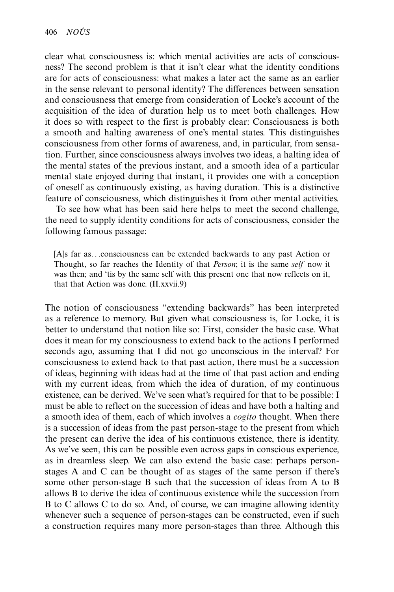clear what consciousness is: which mental activities are acts of consciousness? The second problem is that it isn't clear what the identity conditions are for acts of consciousness: what makes a later act the same as an earlier in the sense relevant to personal identity? The differences between sensation and consciousness that emerge from consideration of Locke's account of the acquisition of the idea of duration help us to meet both challenges. How it does so with respect to the first is probably clear: Consciousness is both a smooth and halting awareness of one's mental states. This distinguishes consciousness from other forms of awareness, and, in particular, from sensation. Further, since consciousness always involves two ideas, a halting idea of the mental states of the previous instant, and a smooth idea of a particular mental state enjoyed during that instant, it provides one with a conception of oneself as continuously existing, as having duration. This is a distinctive feature of consciousness, which distinguishes it from other mental activities.

To see how what has been said here helps to meet the second challenge, the need to supply identity conditions for acts of consciousness, consider the following famous passage:

[A]s far as...consciousness can be extended backwards to any past Action or Thought, so far reaches the Identity of that *Person*; it is the same *self* now it was then; and 'tis by the same self with this present one that now reflects on it, that that Action was done. (II.xxvii.9)

The notion of consciousness "extending backwards" has been interpreted as a reference to memory. But given what consciousness is, for Locke, it is better to understand that notion like so: First, consider the basic case. What does it mean for my consciousness to extend back to the actions I performed seconds ago, assuming that I did not go unconscious in the interval? For consciousness to extend back to that past action, there must be a succession of ideas, beginning with ideas had at the time of that past action and ending with my current ideas, from which the idea of duration, of my continuous existence, can be derived. We've seen what's required for that to be possible: I must be able to reflect on the succession of ideas and have both a halting and a smooth idea of them, each of which involves a *cogito* thought. When there is a succession of ideas from the past person-stage to the present from which the present can derive the idea of his continuous existence, there is identity. As we've seen, this can be possible even across gaps in conscious experience, as in dreamless sleep. We can also extend the basic case: perhaps personstages A and C can be thought of as stages of the same person if there's some other person-stage B such that the succession of ideas from A to B allows B to derive the idea of continuous existence while the succession from B to C allows C to do so. And, of course, we can imagine allowing identity whenever such a sequence of person-stages can be constructed, even if such a construction requires many more person-stages than three. Although this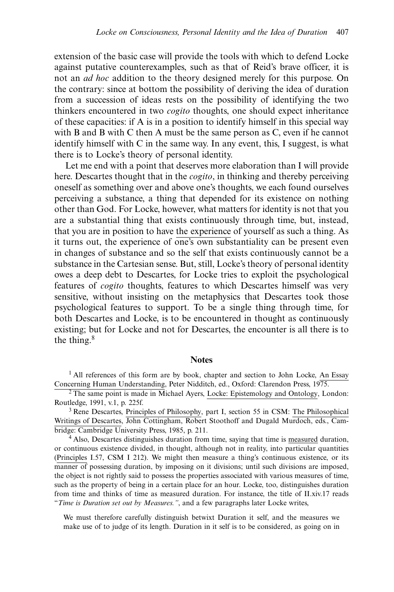extension of the basic case will provide the tools with which to defend Locke against putative counterexamples, such as that of Reid's brave officer, it is not an *ad hoc* addition to the theory designed merely for this purpose. On the contrary: since at bottom the possibility of deriving the idea of duration from a succession of ideas rests on the possibility of identifying the two thinkers encountered in two *cogito* thoughts, one should expect inheritance of these capacities: if A is in a position to identify himself in this special way with B and B with C then A must be the same person as C, even if he cannot identify himself with C in the same way. In any event, this, I suggest, is what there is to Locke's theory of personal identity.

Let me end with a point that deserves more elaboration than I will provide here. Descartes thought that in the *cogito*, in thinking and thereby perceiving oneself as something over and above one's thoughts, we each found ourselves perceiving a substance, a thing that depended for its existence on nothing other than God. For Locke, however, what matters for identity is not that you are a substantial thing that exists continuously through time, but, instead, that you are in position to have the experience of yourself as such a thing. As it turns out, the experience of one's own substantiality can be present even in changes of substance and so the self that exists continuously cannot be a substance in the Cartesian sense. But, still, Locke's theory of personal identity owes a deep debt to Descartes, for Locke tries to exploit the psychological features of *cogito* thoughts, features to which Descartes himself was very sensitive, without insisting on the metaphysics that Descartes took those psychological features to support. To be a single thing through time, for both Descartes and Locke, is to be encountered in thought as continuously existing; but for Locke and not for Descartes, the encounter is all there is to the thing. $8$ 

## **Notes**

<sup>1</sup> All references of this form are by book, chapter and section to John Locke, An Essay Concerning Human Understanding, Peter Nidditch, ed., Oxford: Clarendon Press, 1975.

 $2$ <sup>T</sup>he same point is made in Michael Ayers, Locke: Epistemology and Ontology, London: Routledge, 1991, v.1, p. 225f.

<sup>3</sup> Rene Descartes, Principles of Philosophy, part I, section 55 in CSM: The Philosophical Writings of Descartes, John Cottingham, Robert Stoothoff and Dugald Murdoch, eds., Cambridge: Cambridge University Press, 1985, p. 211.

<sup>4</sup> Also, Descartes distinguishes duration from time, saying that time is measured duration, or continuous existence divided, in thought, although not in reality, into particular quantities (Principles I.57, CSM I 212). We might then measure a thing's continuous existence, or its manner of possessing duration, by imposing on it divisions; until such divisions are imposed, the object is not rightly said to possess the properties associated with various measures of time, such as the property of being in a certain place for an hour. Locke, too, distinguishes duration from time and thinks of time as measured duration. For instance, the title of II.xiv.17 reads "*Time is Duration set out by Measures."*, and a few paragraphs later Locke writes,

We must therefore carefully distinguish betwixt Duration it self, and the measures we make use of to judge of its length. Duration in it self is to be considered, as going on in